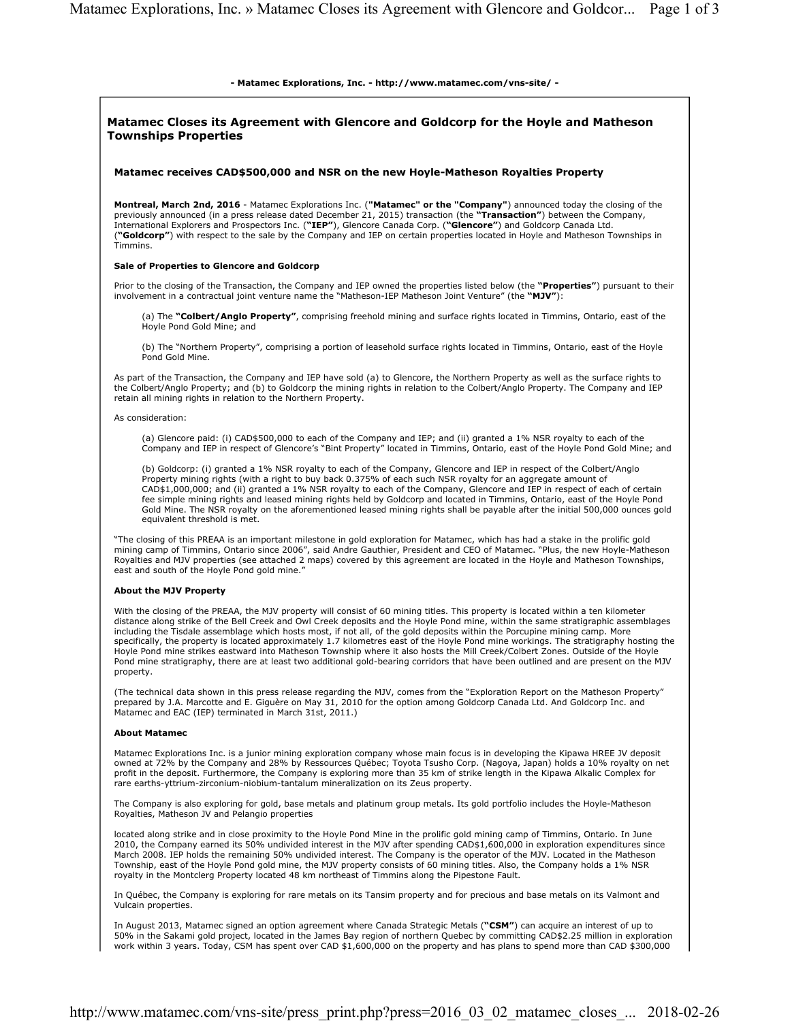## - Matamec Explorations, Inc. - http://www.matamec.com/vns-site/ -

## Matamec Closes its Agreement with Glencore and Goldcorp for the Hoyle and Matheson Townships Properties Matamec receives CAD\$500,000 and NSR on the new Hoyle-Matheson Royalties Property Montreal, March 2nd, 2016 - Matamec Explorations Inc. ("Matamec" or the "Company") announced today the closing of the previously announced (in a press release dated December 21, 2015) transaction (the "Transaction") between the Company, International Explorers and Prospectors Inc. ("IEP"), Glencore Canada Corp. ("Glencore") and Goldcorp Canada Ltd. ("Goldcorp") with respect to the sale by the Company and IEP on certain properties located in Hoyle and Matheson Townships in Timmins. Sale of Properties to Glencore and Goldcorp Prior to the closing of the Transaction, the Company and IEP owned the properties listed below (the "Properties") pursuant to their involvement in a contractual joint venture name the "Matheson-IEP Matheson Joint Venture" (the "MJV"): (a) The "Colbert/Anglo Property", comprising freehold mining and surface rights located in Timmins, Ontario, east of the Hoyle Pond Gold Mine; and (b) The "Northern Property", comprising a portion of leasehold surface rights located in Timmins, Ontario, east of the Hoyle Pond Gold Mine. As part of the Transaction, the Company and IEP have sold (a) to Glencore, the Northern Property as well as the surface rights to the Colbert/Anglo Property; and (b) to Goldcorp the mining rights in relation to the Colbert/Anglo Property. The Company and IEP retain all mining rights in relation to the Northern Property. As consideration: (a) Glencore paid: (i) CAD\$500,000 to each of the Company and IEP; and (ii) granted a 1% NSR royalty to each of the Company and IEP in respect of Glencore's "Bint Property" located in Timmins, Ontario, east of the Hoyle Pond Gold Mine; and (b) Goldcorp: (i) granted a 1% NSR royalty to each of the Company, Glencore and IEP in respect of the Colbert/Anglo Property mining rights (with a right to buy back 0.375% of each such NSR royalty for an aggregate amount of CAD\$1,000,000; and (ii) granted a 1% NSR royalty to each of the Company, Glencore and IEP in respect of each of certain fee simple mining rights and leased mining rights held by Goldcorp and located in Timmins, Ontario, east of the Hoyle Pond Gold Mine. The NSR royalty on the aforementioned leased mining rights shall be payable after the initial 500,000 ounces gold equivalent threshold is met. "The closing of this PREAA is an important milestone in gold exploration for Matamec, which has had a stake in the prolific gold mining camp of Timmins, Ontario since 2006", said Andre Gauthier, President and CEO of Matamec. "Plus, the new Hoyle-Matheson Royalties and MJV properties (see attached 2 maps) covered by this agreement are located in the Hoyle and Matheson Townships, east and south of the Hoyle Pond gold mine.' About the MJV Property With the closing of the PREAA, the MJV property will consist of 60 mining titles. This property is located within a ten kilometer distance along strike of the Bell Creek and Owl Creek deposits and the Hoyle Pond mine, within the same stratigraphic assemblages including the Tisdale assemblage which hosts most, if not all, of the gold deposits within the Porcupine mining camp. More specifically, the property is located approximately 1.7 kilometres east of the Hoyle Pond mine workings. The stratigraphy hosting the Hoyle Pond mine strikes eastward into Matheson Township where it also hosts the Mill Creek/Colbert Zones. Outside of the Hoyle Pond mine stratigraphy, there are at least two additional gold-bearing corridors that have been outlined and are present on the MJV property. (The technical data shown in this press release regarding the MJV, comes from the "Exploration Report on the Matheson Property" prepared by J.A. Marcotte and E. Giguère on May 31, 2010 for the option among Goldcorp Canada Ltd. And Goldcorp Inc. and Matamec and EAC (IEP) terminated in March 31st, 2011.) About Matamec Matamec Explorations Inc. is a junior mining exploration company whose main focus is in developing the Kipawa HREE JV deposit owned at 72% by the Company and 28% by Ressources Québec; Toyota Tsusho Corp. (Nagoya, Japan) holds a 10% royalty on net<br>profit in the deposit. Furthermore, the Company is exploring more than 35 km of strike length in the rare earths-yttrium-zirconium-niobium-tantalum mineralization on its Zeus property. The Company is also exploring for gold, base metals and platinum group metals. Its gold portfolio includes the Hoyle-Matheson Royalties, Matheson JV and Pelangio properties located along strike and in close proximity to the Hoyle Pond Mine in the prolific gold mining camp of Timmins, Ontario. In June 2010, the Company earned its 50% undivided interest in the MJV after spending CAD\$1,600,000 in exploration expenditures since March 2008. IEP holds the remaining 50% undivided interest. The Company is the operator of the MJV. Located in the Matheson Township, east of the Hoyle Pond gold mine, the MJV property consists of 60 mining titles. Also, the Company holds a 1% NSR royalty in the Montclerg Property located 48 km northeast of Timmins along the Pipestone Fault.

In Québec, the Company is exploring for rare metals on its Tansim property and for precious and base metals on its Valmont and Vulcain properties.

In August 2013, Matamec signed an option agreement where Canada Strategic Metals ("CSM") can acquire an interest of up to 50% in the Sakami gold project, located in the James Bay region of northern Quebec by committing CAD\$2.25 million in exploration work within 3 years. Today, CSM has spent over CAD \$1,600,000 on the property and has plans to spend more than CAD \$300,000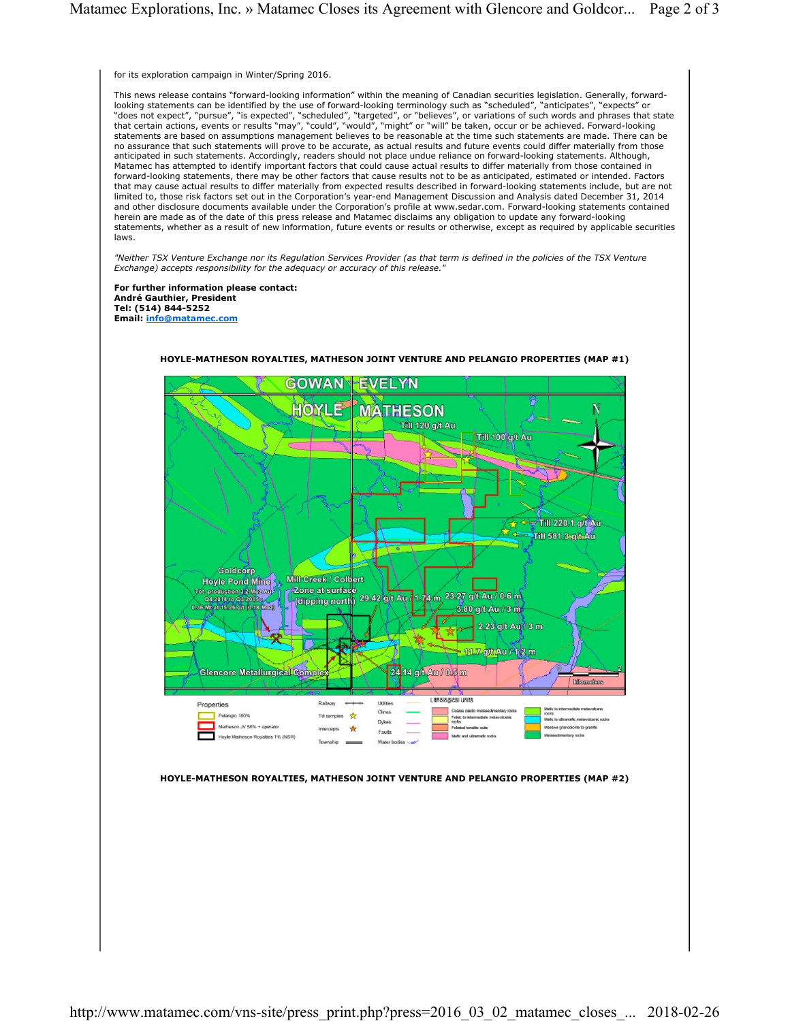for its exploration campaign in Winter/Spring 2016.

This news release contains "forward-looking information" within the meaning of Canadian securities legislation. Generally, forwardlooking statements can be identified by the use of forward-looking terminology such as "scheduled", "anticipates", "expects" or "does not expect", "pursue", "is expected", "scheduled", "targeted", or "believes", or variations of such words and phrases that state<br>that certain actions, events or results "may", "could", "would", "might" or "will" be t statements are based on assumptions management believes to be reasonable at the time such statements are made. There can be no assurance that such statements will prove to be accurate, as actual results and future events could differ materially from those anticipated in such statements. Accordingly, readers should not place undue reliance on forward-looking statements. Although, Matamec has attempted to identify important factors that could cause actual results to differ materially from those contained in forward-looking statements, there may be other factors that cause results not to be as anticipated, estimated or intended. Factors that may cause actual results to differ materially from expected results described in forward-looking statements include, but are not limited to, those risk factors set out in the Corporation's year-end Management Discussion and Analysis dated December 31, 2014 and other disclosure documents available under the Corporation's profile at www.sedar.com. Forward-looking statements contained herein are made as of the date of this press release and Matamec disclaims any obligation to update any forward-looking statements, whether as a result of new information, future events or results or otherwise, except as required by applicable securities laws.

"Neither TSX Venture Exchange nor its Regulation Services Provider (as that term is defined in the policies of the TSX Venture Exchange) accepts responsibility for the adequacy or accuracy of this release."

For further information please contact: André Gauthier, President Tel: (514) 844-5252 Email: info@matamec.com



HOYLE-MATHESON ROYALTIES, MATHESON JOINT VENTURE AND PELANGIO PROPERTIES (MAP #1)

## HOYLE-MATHESON ROYALTIES, MATHESON JOINT VENTURE AND PELANGIO PROPERTIES (MAP #2)